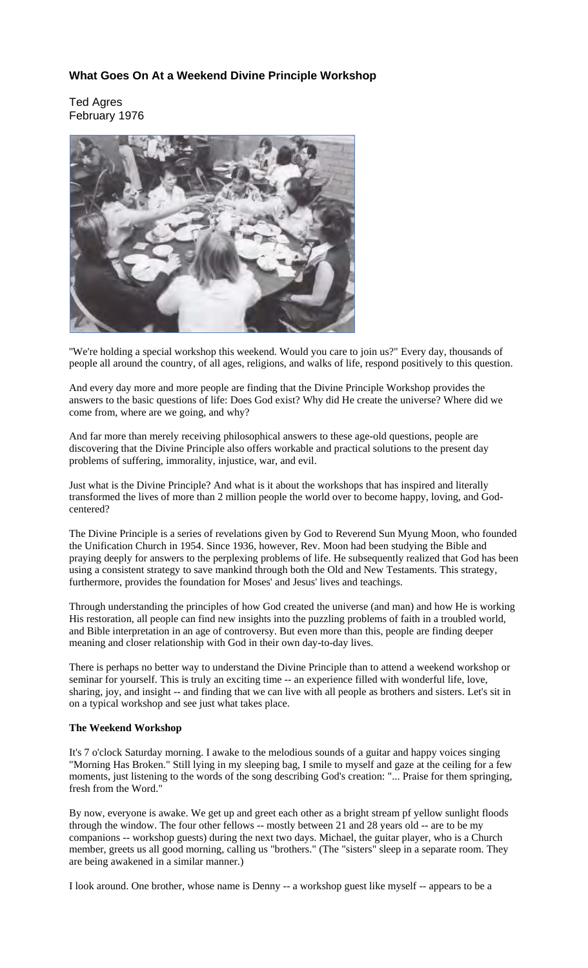# **What Goes On At a Weekend Divine Principle Workshop**

Ted Agres February 1976



''We're holding a special workshop this weekend. Would you care to join us?" Every day, thousands of people all around the country, of all ages, religions, and walks of life, respond positively to this question.

And every day more and more people are finding that the Divine Principle Workshop provides the answers to the basic questions of life: Does God exist? Why did He create the universe? Where did we come from, where are we going, and why?

And far more than merely receiving philosophical answers to these age-old questions, people are discovering that the Divine Principle also offers workable and practical solutions to the present day problems of suffering, immorality, injustice, war, and evil.

Just what is the Divine Principle? And what is it about the workshops that has inspired and literally transformed the lives of more than 2 million people the world over to become happy, loving, and Godcentered?

The Divine Principle is a series of revelations given by God to Reverend Sun Myung Moon, who founded the Unification Church in 1954. Since 1936, however, Rev. Moon had been studying the Bible and praying deeply for answers to the perplexing problems of life. He subsequently realized that God has been using a consistent strategy to save mankind through both the Old and New Testaments. This strategy, furthermore, provides the foundation for Moses' and Jesus' lives and teachings.

Through understanding the principles of how God created the universe (and man) and how He is working His restoration, all people can find new insights into the puzzling problems of faith in a troubled world, and Bible interpretation in an age of controversy. But even more than this, people are finding deeper meaning and closer relationship with God in their own day-to-day lives.

There is perhaps no better way to understand the Divine Principle than to attend a weekend workshop or seminar for yourself. This is truly an exciting time -- an experience filled with wonderful life, love, sharing, joy, and insight -- and finding that we can live with all people as brothers and sisters. Let's sit in on a typical workshop and see just what takes place.

## **The Weekend Workshop**

It's 7 o'clock Saturday morning. I awake to the melodious sounds of a guitar and happy voices singing "Morning Has Broken." Still lying in my sleeping bag, I smile to myself and gaze at the ceiling for a few moments, just listening to the words of the song describing God's creation: "... Praise for them springing, fresh from the Word."

By now, everyone is awake. We get up and greet each other as a bright stream pf yellow sunlight floods through the window. The four other fellows -- mostly between 21 and 28 years old -- are to be my companions -- workshop guests) during the next two days. Michael, the guitar player, who is a Church member, greets us all good morning, calling us "brothers." (The "sisters" sleep in a separate room. They are being awakened in a similar manner.)

I look around. One brother, whose name is Denny -- a workshop guest like myself -- appears to be a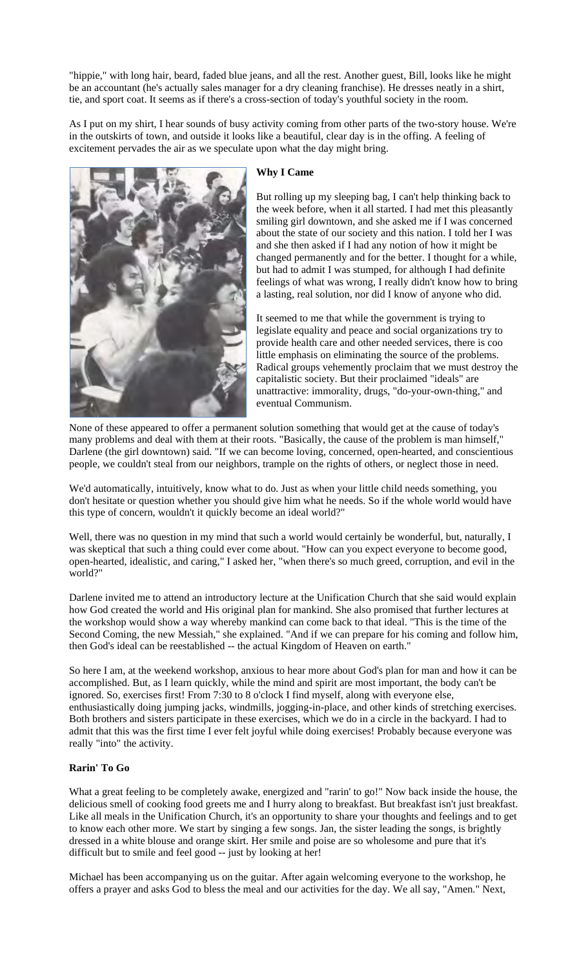"hippie," with long hair, beard, faded blue jeans, and all the rest. Another guest, Bill, looks like he might be an accountant (he's actually sales manager for a dry cleaning franchise). He dresses neatly in a shirt, tie, and sport coat. It seems as if there's a cross-section of today's youthful society in the room.

As I put on my shirt, I hear sounds of busy activity coming from other parts of the two-story house. We're in the outskirts of town, and outside it looks like a beautiful, clear day is in the offing. A feeling of excitement pervades the air as we speculate upon what the day might bring.



## **Why I Came**

But rolling up my sleeping bag, I can't help thinking back to the week before, when it all started. I had met this pleasantly smiling girl downtown, and she asked me if I was concerned about the state of our society and this nation. I told her I was and she then asked if I had any notion of how it might be changed permanently and for the better. I thought for a while, but had to admit I was stumped, for although I had definite feelings of what was wrong, I really didn't know how to bring a lasting, real solution, nor did I know of anyone who did.

It seemed to me that while the government is trying to legislate equality and peace and social organizations try to provide health care and other needed services, there is coo little emphasis on eliminating the source of the problems. Radical groups vehemently proclaim that we must destroy the capitalistic society. But their proclaimed "ideals" are unattractive: immorality, drugs, "do-your-own-thing," and eventual Communism.

None of these appeared to offer a permanent solution something that would get at the cause of today's many problems and deal with them at their roots. "Basically, the cause of the problem is man himself," Darlene (the girl downtown) said. "If we can become loving, concerned, open-hearted, and conscientious people, we couldn't steal from our neighbors, trample on the rights of others, or neglect those in need.

We'd automatically, intuitively, know what to do. Just as when your little child needs something, you don't hesitate or question whether you should give him what he needs. So if the whole world would have this type of concern, wouldn't it quickly become an ideal world?"

Well, there was no question in my mind that such a world would certainly be wonderful, but, naturally, I was skeptical that such a thing could ever come about. "How can you expect everyone to become good, open-hearted, idealistic, and caring," I asked her, "when there's so much greed, corruption, and evil in the world?"

Darlene invited me to attend an introductory lecture at the Unification Church that she said would explain how God created the world and His original plan for mankind. She also promised that further lectures at the workshop would show a way whereby mankind can come back to that ideal. "This is the time of the Second Coming, the new Messiah," she explained. "And if we can prepare for his coming and follow him, then God's ideal can be reestablished -- the actual Kingdom of Heaven on earth."

So here I am, at the weekend workshop, anxious to hear more about God's plan for man and how it can be accomplished. But, as I learn quickly, while the mind and spirit are most important, the body can't be ignored. So, exercises first! From 7:30 to 8 o'clock I find myself, along with everyone else, enthusiastically doing jumping jacks, windmills, jogging-in-place, and other kinds of stretching exercises. Both brothers and sisters participate in these exercises, which we do in a circle in the backyard. I had to admit that this was the first time I ever felt joyful while doing exercises! Probably because everyone was really "into" the activity.

## **Rarin' To Go**

What a great feeling to be completely awake, energized and "rarin' to go!" Now back inside the house, the delicious smell of cooking food greets me and I hurry along to breakfast. But breakfast isn't just breakfast. Like all meals in the Unification Church, it's an opportunity to share your thoughts and feelings and to get to know each other more. We start by singing a few songs. Jan, the sister leading the songs, is brightly dressed in a white blouse and orange skirt. Her smile and poise are so wholesome and pure that it's difficult but to smile and feel good -- just by looking at her!

Michael has been accompanying us on the guitar. After again welcoming everyone to the workshop, he offers a prayer and asks God to bless the meal and our activities for the day. We all say, "Amen." Next,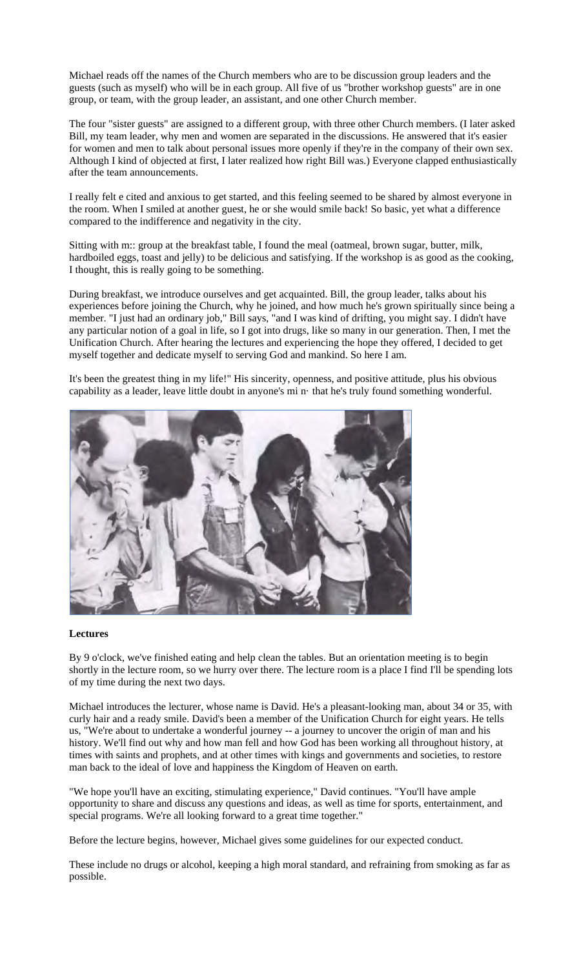Michael reads off the names of the Church members who are to be discussion group leaders and the guests (such as myself) who will be in each group. All five of us "brother workshop guests" are in one group, or team, with the group leader, an assistant, and one other Church member.

The four "sister guests" are assigned to a different group, with three other Church members. (I later asked Bill, my team leader, why men and women are separated in the discussions. He answered that it's easier for women and men to talk about personal issues more openly if they're in the company of their own sex. Although I kind of objected at first, I later realized how right Bill was.) Everyone clapped enthusiastically after the team announcements.

I really felt e cited and anxious to get started, and this feeling seemed to be shared by almost everyone in the room. When I smiled at another guest, he or she would smile back! So basic, yet what a difference compared to the indifference and negativity in the city.

Sitting with m:: group at the breakfast table, I found the meal (oatmeal, brown sugar, butter, milk, hardboiled eggs, toast and jelly) to be delicious and satisfying. If the workshop is as good as the cooking, I thought, this is really going to be something.

During breakfast, we introduce ourselves and get acquainted. Bill, the group leader, talks about his experiences before joining the Church, why he joined, and how much he's grown spiritually since being a member. "I just had an ordinary job," Bill says, "and I was kind of drifting, you might say. I didn't have any particular notion of a goal in life, so I got into drugs, like so many in our generation. Then, I met the Unification Church. After hearing the lectures and experiencing the hope they offered, I decided to get myself together and dedicate myself to serving God and mankind. So here I am.

It's been the greatest thing in my life!" His sincerity, openness, and positive attitude, plus his obvious capability as a leader, leave little doubt in anyone's mi n· that he's truly found something wonderful.



#### **Lectures**

By 9 o'clock, we've finished eating and help clean the tables. But an orientation meeting is to begin shortly in the lecture room, so we hurry over there. The lecture room is a place I find I'll be spending lots of my time during the next two days.

Michael introduces the lecturer, whose name is David. He's a pleasant-looking man, about 34 or 35, with curly hair and a ready smile. David's been a member of the Unification Church for eight years. He tells us, "We're about to undertake a wonderful journey -- a journey to uncover the origin of man and his history. We'll find out why and how man fell and how God has been working all throughout history, at times with saints and prophets, and at other times with kings and governments and societies, to restore man back to the ideal of love and happiness the Kingdom of Heaven on earth.

"We hope you'll have an exciting, stimulating experience," David continues. "You'll have ample opportunity to share and discuss any questions and ideas, as well as time for sports, entertainment, and special programs. We're all looking forward to a great time together."

Before the lecture begins, however, Michael gives some guidelines for our expected conduct.

These include no drugs or alcohol, keeping a high moral standard, and refraining from smoking as far as possible.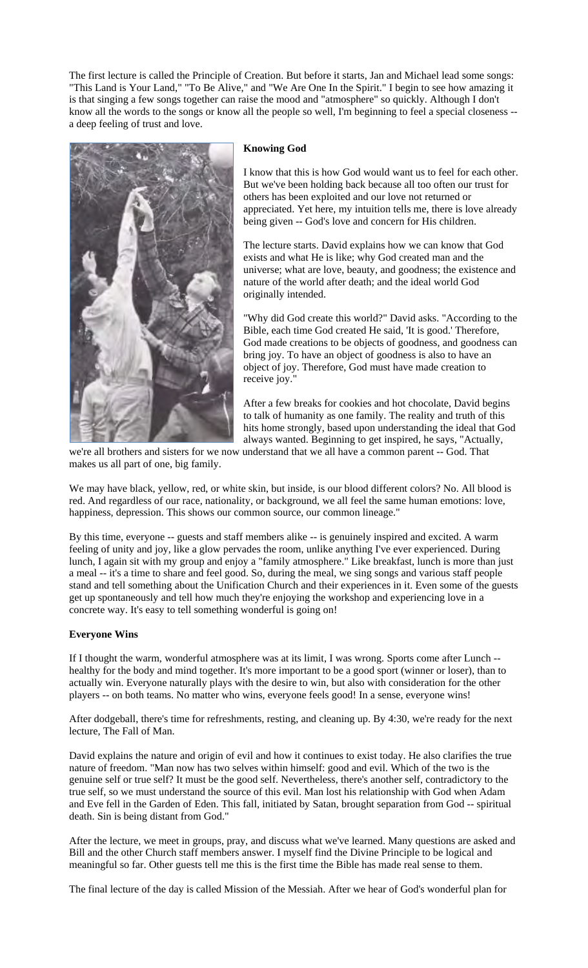The first lecture is called the Principle of Creation. But before it starts, Jan and Michael lead some songs: "This Land is Your Land," "To Be Alive," and "We Are One In the Spirit." I begin to see how amazing it is that singing a few songs together can raise the mood and "atmosphere" so quickly. Although I don't know all the words to the songs or know all the people so well, I'm beginning to feel a special closeness - a deep feeling of trust and love.



## **Knowing God**

I know that this is how God would want us to feel for each other. But we've been holding back because all too often our trust for others has been exploited and our love not returned or appreciated. Yet here, my intuition tells me, there is love already being given -- God's love and concern for His children.

The lecture starts. David explains how we can know that God exists and what He is like; why God created man and the universe; what are love, beauty, and goodness; the existence and nature of the world after death; and the ideal world God originally intended.

"Why did God create this world?" David asks. "According to the Bible, each time God created He said, 'It is good.' Therefore, God made creations to be objects of goodness, and goodness can bring joy. To have an object of goodness is also to have an object of joy. Therefore, God must have made creation to receive joy."

After a few breaks for cookies and hot chocolate, David begins to talk of humanity as one family. The reality and truth of this hits home strongly, based upon understanding the ideal that God always wanted. Beginning to get inspired, he says, "Actually,

we're all brothers and sisters for we now understand that we all have a common parent -- God. That makes us all part of one, big family.

We may have black, yellow, red, or white skin, but inside, is our blood different colors? No. All blood is red. And regardless of our race, nationality, or background, we all feel the same human emotions: love, happiness, depression. This shows our common source, our common lineage."

By this time, everyone -- guests and staff members alike -- is genuinely inspired and excited. A warm feeling of unity and joy, like a glow pervades the room, unlike anything I've ever experienced. During lunch, I again sit with my group and enjoy a "family atmosphere." Like breakfast, lunch is more than just a meal -- it's a time to share and feel good. So, during the meal, we sing songs and various staff people stand and tell something about the Unification Church and their experiences in it. Even some of the guests get up spontaneously and tell how much they're enjoying the workshop and experiencing love in a concrete way. It's easy to tell something wonderful is going on!

## **Everyone Wins**

If I thought the warm, wonderful atmosphere was at its limit, I was wrong. Sports come after Lunch - healthy for the body and mind together. It's more important to be a good sport (winner or loser), than to actually win. Everyone naturally plays with the desire to win, but also with consideration for the other players -- on both teams. No matter who wins, everyone feels good! In a sense, everyone wins!

After dodgeball, there's time for refreshments, resting, and cleaning up. By 4:30, we're ready for the next lecture, The Fall of Man.

David explains the nature and origin of evil and how it continues to exist today. He also clarifies the true nature of freedom. "Man now has two selves within himself: good and evil. Which of the two is the genuine self or true self? It must be the good self. Nevertheless, there's another self, contradictory to the true self, so we must understand the source of this evil. Man lost his relationship with God when Adam and Eve fell in the Garden of Eden. This fall, initiated by Satan, brought separation from God -- spiritual death. Sin is being distant from God."

After the lecture, we meet in groups, pray, and discuss what we've learned. Many questions are asked and Bill and the other Church staff members answer. I myself find the Divine Principle to be logical and meaningful so far. Other guests tell me this is the first time the Bible has made real sense to them.

The final lecture of the day is called Mission of the Messiah. After we hear of God's wonderful plan for